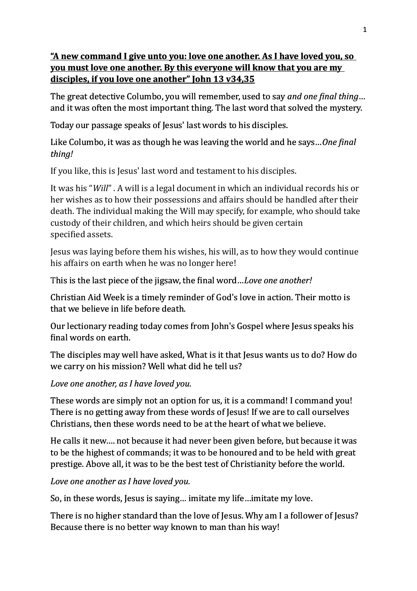## <u>"A new command I give unto you: love one another. As I have loved you, so</u> **you must love one another. By this everyone will know that you are my** disciples, if you love one another" John 13 v34,35

The great detective Columbo, you will remember, used to say *and one final thing*... and it was often the most important thing. The last word that solved the mystery.

Today our passage speaks of Jesus' last words to his disciples.

Like Columbo, it was as though he was leaving the world and he says...*One fingl thing!*

If you like, this is Jesus' last word and testament to his disciples.

It was his "*Will*". A will is a legal document in which an individual records his or her wishes as to how their possessions and affairs should be handled after their death. The individual making the Will may specify, for example, who should take custody of their children, and which heirs should be given certain specified [assets.](https://legaldictionary.net/assets/)

Jesus was laying before them his wishes, his will, as to how they would continue his affairs on earth when he was no longer here!

This is the last piece of the jigsaw, the final word...Love one another!

Christian Aid Week is a timely reminder of God's love in action. Their motto is that we believe in life before death.

Our lectionary reading today comes from John's Gospel where Jesus speaks his final words on earth.

The disciples may well have asked, What is it that Jesus wants us to do? How do we carry on his mission? Well what did he tell us?

Love one another, as I have loved you.

These words are simply not an option for us, it is a command! I command you! There is no getting away from these words of Jesus! If we are to call ourselves Christians, then these words need to be at the heart of what we believe.

He calls it new.... not because it had never been given before, but because it was to be the highest of commands; it was to be honoured and to be held with great prestige. Above all, it was to be the best test of Christianity before the world.

Love one another as I have loved you.

So, in these words, Jesus is saying... imitate my life...imitate my love.

There is no higher standard than the love of Jesus. Why am I a follower of Jesus? Because there is no better way known to man than his way!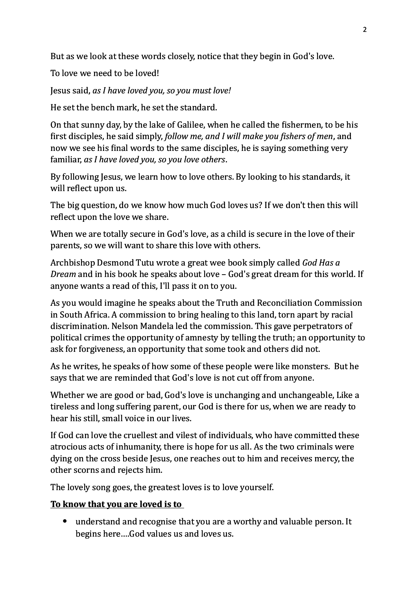But as we look at these words closely, notice that they begin in God's love.

To love we need to be loved!

Jesus said, *as I have loved you, so you must love!* 

He set the bench mark, he set the standard.

On that sunny day, by the lake of Galilee, when he called the fishermen, to be his first disciples, he said simply, *follow me, and I will make you fishers of men*, and now we see his final words to the same disciples, he is saying something very familiar, *as I have loved you, so you love others*.

By following Jesus, we learn how to love others. By looking to his standards, it will reflect upon us.

The big question, do we know how much God loves us? If we don't then this will reflect upon the love we share.

When we are totally secure in God's love, as a child is secure in the love of their parents, so we will want to share this love with others.

Archbishop Desmond Tutu wrote a great wee book simply called *God Has a Dream* and in his book he speaks about love – God's great dream for this world. If anyone wants a read of this, I'll pass it on to you.

As you would imagine he speaks about the Truth and Reconciliation Commission in South Africa. A commission to bring healing to this land, torn apart by racial discrimination. Nelson Mandela led the commission. This gave perpetrators of political crimes the opportunity of amnesty by telling the truth; an opportunity to ask for forgiveness, an opportunity that some took and others did not.

As he writes, he speaks of how some of these people were like monsters. But he says that we are reminded that God's love is not cut off from anyone.

Whether we are good or bad, God's love is unchanging and unchangeable, Like a tireless and long suffering parent, our God is there for us, when we are ready to hear his still, small voice in our lives.

If God can love the cruellest and vilest of individuals, who have committed these atrocious acts of inhumanity, there is hope for us all. As the two criminals were dying on the cross beside Jesus, one reaches out to him and receives mercy, the other scorns and rejects him.

The lovely song goes, the greatest loves is to love yourself.

## To know that you are loved is to

• understand and recognise that you are a worthy and valuable person. It begins here....God values us and loves us.